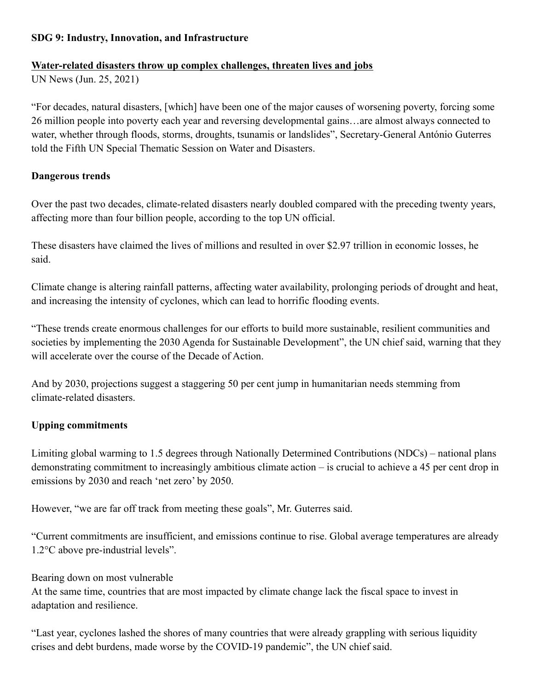## **SDG 9: Industry, Innovation, and Infrastructure**

#### **Water-related disasters throw up complex challenges, threaten lives and jobs**

UN News (Jun. 25, 2021)

"For decades, natural disasters, [which] have been one of the major causes of worsening poverty, forcing some 26 million people into poverty each year and reversing developmental gains…are almost always connected to water, whether through floods, storms, droughts, tsunamis or landslides", Secretary-General António Guterres told the Fifth UN Special Thematic Session on Water and Disasters.

### **Dangerous trends**

Over the past two decades, climate-related disasters nearly doubled compared with the preceding twenty years, affecting more than four billion people, according to the top UN official.

These disasters have claimed the lives of millions and resulted in over \$2.97 trillion in economic losses, he said.

Climate change is altering rainfall patterns, affecting water availability, prolonging periods of drought and heat, and increasing the intensity of cyclones, which can lead to horrific flooding events.

"These trends create enormous challenges for our efforts to build more sustainable, resilient communities and societies by implementing the 2030 Agenda for Sustainable Development", the UN chief said, warning that they will accelerate over the course of the Decade of Action.

And by 2030, projections suggest a staggering 50 per cent jump in humanitarian needs stemming from climate-related disasters.

# **Upping commitments**

Limiting global warming to 1.5 degrees through Nationally Determined Contributions (NDCs) – national plans demonstrating commitment to increasingly ambitious climate action – is crucial to achieve a 45 per cent drop in emissions by 2030 and reach 'net zero' by 2050.

However, "we are far off track from meeting these goals", Mr. Guterres said.

"Current commitments are insufficient, and emissions continue to rise. Global average temperatures are already 1.2°C above pre-industrial levels".

Bearing down on most vulnerable

At the same time, countries that are most impacted by climate change lack the fiscal space to invest in adaptation and resilience.

"Last year, cyclones lashed the shores of many countries that were already grappling with serious liquidity crises and debt burdens, made worse by the COVID-19 pandemic", the UN chief said.